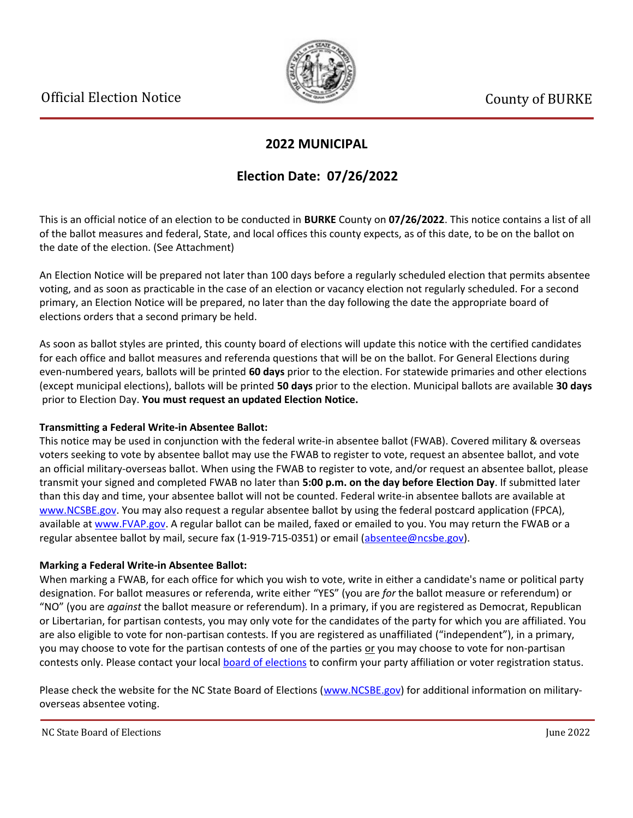

### **2022 MUNICIPAL**

## **Election Date: 07/26/2022**

This is an official notice of an election to be conducted in **BURKE** County on **07/26/2022**. This notice contains a list of all of the ballot measures and federal, State, and local offices this county expects, as of this date, to be on the ballot on the date of the election. (See Attachment)

An Election Notice will be prepared not later than 100 days before a regularly scheduled election that permits absentee voting, and as soon as practicable in the case of an election or vacancy election not regularly scheduled. For a second primary, an Election Notice will be prepared, no later than the day following the date the appropriate board of elections orders that a second primary be held.

As soon as ballot styles are printed, this county board of elections will update this notice with the certified candidates for each office and ballot measures and referenda questions that will be on the ballot. For General Elections during even-numbered years, ballots will be printed **60 days** prior to the election. For statewide primaries and other elections (except municipal elections), ballots will be printed **50 days** prior to the election. Municipal ballots are available **30 days** prior to Election Day. **You must request an updated Election Notice.**

#### **Transmitting a Federal Write-in Absentee Ballot:**

This notice may be used in conjunction with the federal write-in absentee ballot (FWAB). Covered military & overseas voters seeking to vote by absentee ballot may use the FWAB to register to vote, request an absentee ballot, and vote an official military-overseas ballot. When using the FWAB to register to vote, and/or request an absentee ballot, please transmit your signed and completed FWAB no later than **5:00 p.m. on the day before Election Day**. If submitted later than this day and time, your absentee ballot will not be counted. Federal write-in absentee ballots are available at [www.NCSBE.gov.](https://www.ncsbe.gov/) You may also request a regular absentee ballot by using the federal postcard application (FPCA), available at [www.FVAP.gov](https://www.fvap.gov/). A regular ballot can be mailed, faxed or emailed to you. You may return the FWAB or a regular absentee ballot by mail, secure fax (1-919-715-0351) or email (absentee@ncsbe.gov).

#### **Marking a Federal Write-in Absentee Ballot:**

When marking a FWAB, for each office for which you wish to vote, write in either a candidate's name or political party designation. For ballot measures or referenda, write either "YES" (you are *for* the ballot measure or referendum) or "NO" (you are *against* the ballot measure or referendum). In a primary, if you are registered as Democrat, Republican or Libertarian, for partisan contests, you may only vote for the candidates of the party for which you are affiliated. You are also eligible to vote for non-partisan contests. If you are registered as unaffiliated ("independent"), in a primary, you may choose to vote for the partisan contests of one of the parties or you may choose to vote for non-partisan contests only. Please contact your local [board of elections](https://vt.ncsbe.gov/BOEInfo/) to confirm your party affiliation or voter registration status.

Please check the website for the NC State Board of Elections ([www.NCSBE.gov\)](https://www.ncsbe.gov/) for additional information on militaryoverseas absentee voting.